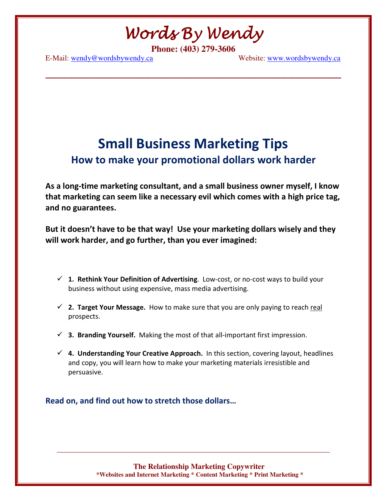Words By Wendy

**\_\_\_\_\_\_\_\_\_\_\_\_\_\_\_\_\_\_\_\_\_\_\_\_\_\_\_\_\_\_\_\_\_\_\_\_\_\_\_** 

**Phone: (403) 279-3606** 

E-Mail: wendy@wordsbywendy.ca Website: www.wordsbywendy.ca

## Small Business Marketing Tips How to make your promotional dollars work harder

As a long-time marketing consultant, and a small business owner myself, I know that marketing can seem like a necessary evil which comes with a high price tag, and no guarantees.

But it doesn't have to be that way! Use your marketing dollars wisely and they will work harder, and go further, than you ever imagined:

- $\checkmark$  1. Rethink Your Definition of Advertising. Low-cost, or no-cost ways to build your business without using expensive, mass media advertising.
- $\checkmark$  2. Target Your Message. How to make sure that you are only paying to reach real prospects.
- $\checkmark$  3. Branding Yourself. Making the most of that all-important first impression.
- $\checkmark$  4. Understanding Your Creative Approach. In this section, covering layout, headlines and copy, you will learn how to make your marketing materials irresistible and persuasive.

Read on, and find out how to stretch those dollars…

**The Relationship Marketing Copywriter \*Websites and Internet Marketing \* Content Marketing \* Print Marketing \***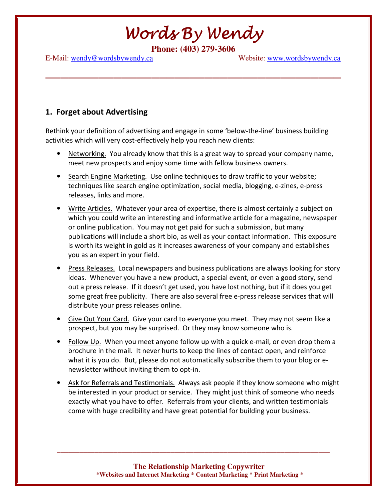**\_\_\_\_\_\_\_\_\_\_\_\_\_\_\_\_\_\_\_\_\_\_\_\_\_\_\_\_\_\_\_\_\_\_\_\_\_\_\_** 

**Phone: (403) 279-3606** 

E-Mail: wendy@wordsbywendy.ca Website: www.wordsbywendy.ca

### 1. Forget about Advertising

Rethink your definition of advertising and engage in some 'below-the-line' business building activities which will very cost-effectively help you reach new clients:

- Networking. You already know that this is a great way to spread your company name, meet new prospects and enjoy some time with fellow business owners.
- Search Engine Marketing. Use online techniques to draw traffic to your website; techniques like search engine optimization, social media, blogging, e-zines, e-press releases, links and more.
- Write Articles. Whatever your area of expertise, there is almost certainly a subject on which you could write an interesting and informative article for a magazine, newspaper or online publication. You may not get paid for such a submission, but many publications will include a short bio, as well as your contact information. This exposure is worth its weight in gold as it increases awareness of your company and establishes you as an expert in your field.
- Press Releases. Local newspapers and business publications are always looking for story ideas. Whenever you have a new product, a special event, or even a good story, send out a press release. If it doesn't get used, you have lost nothing, but if it does you get some great free publicity. There are also several free e-press release services that will distribute your press releases online.
- Give Out Your Card. Give your card to everyone you meet. They may not seem like a prospect, but you may be surprised. Or they may know someone who is.
- Follow Up. When you meet anyone follow up with a quick e-mail, or even drop them a brochure in the mail. It never hurts to keep the lines of contact open, and reinforce what it is you do. But, please do not automatically subscribe them to your blog or enewsletter without inviting them to opt-in.
- Ask for Referrals and Testimonials. Always ask people if they know someone who might be interested in your product or service. They might just think of someone who needs exactly what you have to offer. Referrals from your clients, and written testimonials come with huge credibility and have great potential for building your business.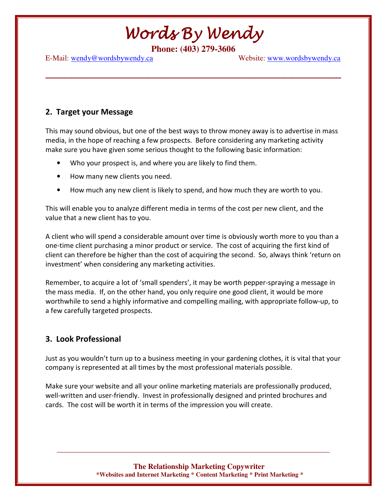**\_\_\_\_\_\_\_\_\_\_\_\_\_\_\_\_\_\_\_\_\_\_\_\_\_\_\_\_\_\_\_\_\_\_\_\_\_\_\_** 

**Phone: (403) 279-3606** 

E-Mail: wendy@wordsbywendy.ca Website: www.wordsbywendy.ca

### 2. Target your Message

This may sound obvious, but one of the best ways to throw money away is to advertise in mass media, in the hope of reaching a few prospects. Before considering any marketing activity make sure you have given some serious thought to the following basic information:

- Who your prospect is, and where you are likely to find them.
- How many new clients you need.
- How much any new client is likely to spend, and how much they are worth to you.

This will enable you to analyze different media in terms of the cost per new client, and the value that a new client has to you.

A client who will spend a considerable amount over time is obviously worth more to you than a one-time client purchasing a minor product or service. The cost of acquiring the first kind of client can therefore be higher than the cost of acquiring the second. So, always think 'return on investment' when considering any marketing activities.

Remember, to acquire a lot of 'small spenders', it may be worth pepper-spraying a message in the mass media. If, on the other hand, you only require one good client, it would be more worthwhile to send a highly informative and compelling mailing, with appropriate follow-up, to a few carefully targeted prospects.

### 3. Look Professional

Just as you wouldn't turn up to a business meeting in your gardening clothes, it is vital that your company is represented at all times by the most professional materials possible.

Make sure your website and all your online marketing materials are professionally produced, well-written and user-friendly. Invest in professionally designed and printed brochures and cards. The cost will be worth it in terms of the impression you will create.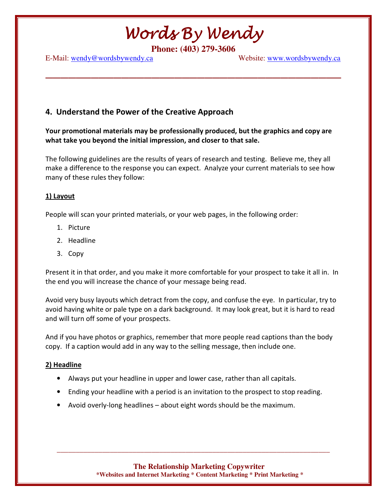**\_\_\_\_\_\_\_\_\_\_\_\_\_\_\_\_\_\_\_\_\_\_\_\_\_\_\_\_\_\_\_\_\_\_\_\_\_\_\_** 

**Phone: (403) 279-3606** 

E-Mail: wendy@wordsbywendy.ca Website: www.wordsbywendy.ca

### 4. Understand the Power of the Creative Approach

Your promotional materials may be professionally produced, but the graphics and copy are what take you beyond the initial impression, and closer to that sale.

The following guidelines are the results of years of research and testing. Believe me, they all make a difference to the response you can expect. Analyze your current materials to see how many of these rules they follow:

#### 1) Layout

People will scan your printed materials, or your web pages, in the following order:

- 1. Picture
- 2. Headline
- 3. Copy

Present it in that order, and you make it more comfortable for your prospect to take it all in. In the end you will increase the chance of your message being read.

Avoid very busy layouts which detract from the copy, and confuse the eye. In particular, try to avoid having white or pale type on a dark background. It may look great, but it is hard to read and will turn off some of your prospects.

And if you have photos or graphics, remember that more people read captions than the body copy. If a caption would add in any way to the selling message, then include one.

#### 2) Headline

- Always put your headline in upper and lower case, rather than all capitals.
- Ending your headline with a period is an invitation to the prospect to stop reading.
- Avoid overly-long headlines about eight words should be the maximum.

**The Relationship Marketing Copywriter \*Websites and Internet Marketing \* Content Marketing \* Print Marketing \***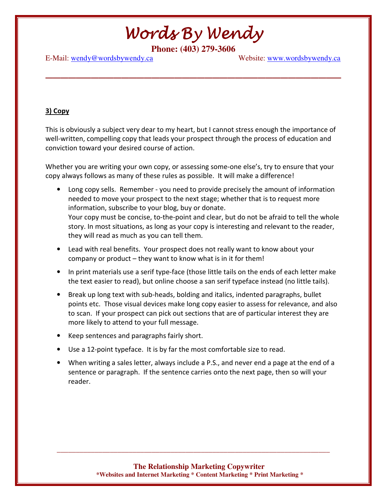**\_\_\_\_\_\_\_\_\_\_\_\_\_\_\_\_\_\_\_\_\_\_\_\_\_\_\_\_\_\_\_\_\_\_\_\_\_\_\_** 

**Phone: (403) 279-3606** 

E-Mail: wendy@wordsbywendy.ca Website: www.wordsbywendy.ca

#### 3) Copy

This is obviously a subject very dear to my heart, but I cannot stress enough the importance of well-written, compelling copy that leads your prospect through the process of education and conviction toward your desired course of action.

Whether you are writing your own copy, or assessing some-one else's, try to ensure that your copy always follows as many of these rules as possible. It will make a difference!

- Long copy sells. Remember you need to provide precisely the amount of information needed to move your prospect to the next stage; whether that is to request more information, subscribe to your blog, buy or donate. Your copy must be concise, to-the-point and clear, but do not be afraid to tell the whole story. In most situations, as long as your copy is interesting and relevant to the reader, they will read as much as you can tell them.
- Lead with real benefits. Your prospect does not really want to know about your company or product – they want to know what is in it for them!
- In print materials use a serif type-face (those little tails on the ends of each letter make the text easier to read), but online choose a san serif typeface instead (no little tails).
- Break up long text with sub-heads, bolding and italics, indented paragraphs, bullet points etc. Those visual devices make long copy easier to assess for relevance, and also to scan. If your prospect can pick out sections that are of particular interest they are more likely to attend to your full message.
- Keep sentences and paragraphs fairly short.
- Use a 12-point typeface. It is by far the most comfortable size to read.
- When writing a sales letter, always include a P.S., and never end a page at the end of a sentence or paragraph. If the sentence carries onto the next page, then so will your reader.